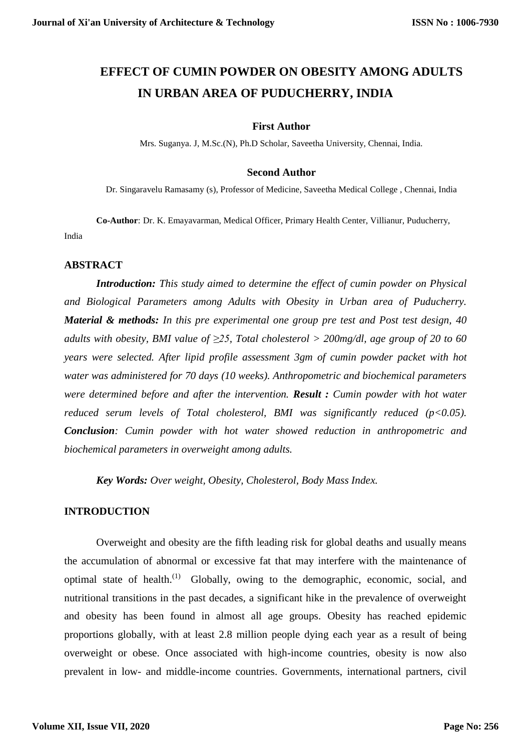# **EFFECT OF CUMIN POWDER ON OBESITY AMONG ADULTS IN URBAN AREA OF PUDUCHERRY, INDIA**

#### **First Author**

Mrs. Suganya. J, M.Sc.(N), Ph.D Scholar, Saveetha University, Chennai, India.

#### **Second Author**

Dr. Singaravelu Ramasamy (s), Professor of Medicine, Saveetha Medical College , Chennai, India

**Co-Author**: Dr. K. Emayavarman, Medical Officer, Primary Health Center, Villianur, Puducherry, India

#### **ABSTRACT**

*Introduction: This study aimed to determine the effect of cumin powder on Physical and Biological Parameters among Adults with Obesity in Urban area of Puducherry. Material & methods: In this pre experimental one group pre test and Post test design, 40 adults with obesity, BMI value of ≥25, Total cholesterol > 200mg/dl, age group of 20 to 60 years were selected. After lipid profile assessment 3gm of cumin powder packet with hot water was administered for 70 days (10 weeks). Anthropometric and biochemical parameters were determined before and after the intervention. Result : Cumin powder with hot water reduced serum levels of Total cholesterol, BMI was significantly reduced (p<0.05). Conclusion: Cumin powder with hot water showed reduction in anthropometric and biochemical parameters in overweight among adults.*

*Key Words: Over weight, Obesity, Cholesterol, Body Mass Index.* 

#### **INTRODUCTION**

Overweight and obesity are the fifth leading risk for global deaths and usually means the accumulation of abnormal or excessive fat that may interfere with the maintenance of optimal state of health.(1) Globally, owing to the demographic, economic, social, and nutritional transitions in the past decades, a significant hike in the prevalence of overweight and obesity has been found in almost all age groups. Obesity has reached epidemic proportions globally, with at least 2.8 million people dying each year as a result of being overweight or obese. Once associated with high-income countries, obesity is now also prevalent in low- and middle-income countries. Governments, international partners, civil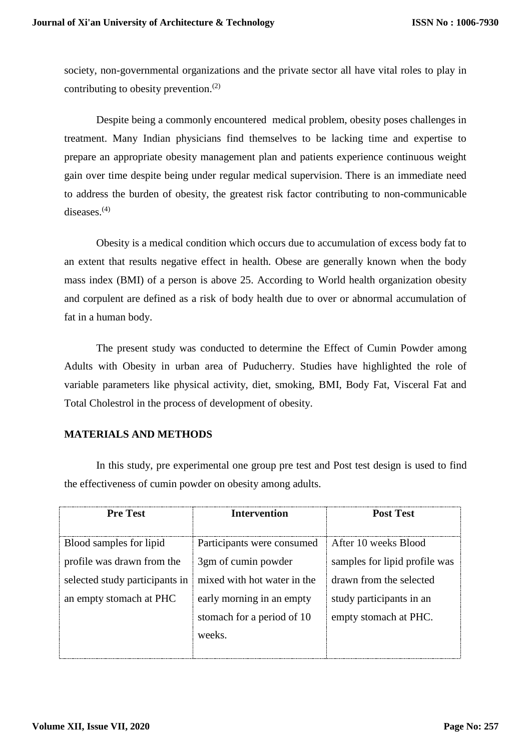society, non-governmental organizations and the private sector all have vital roles to play in contributing to obesity prevention.(2)

Despite being a commonly encountered medical problem, obesity poses challenges in treatment. Many Indian physicians find themselves to be lacking time and expertise to prepare an appropriate obesity management plan and patients experience continuous weight gain over time despite being under regular medical supervision. There is an immediate need to address the burden of obesity, the greatest risk factor contributing to non-communicable diseases.(4)

Obesity is a medical condition which occurs due to accumulation of excess body fat to an extent that results negative effect in health. Obese are generally known when the body mass index (BMI) of a person is above 25. According to World health organization obesity and corpulent are defined as a risk of body health due to over or abnormal accumulation of fat in a human body.

The present study was conducted to determine the Effect of Cumin Powder among Adults with Obesity in urban area of Puducherry. Studies have highlighted the role of variable parameters like physical activity, diet, smoking, BMI, Body Fat, Visceral Fat and Total Cholestrol in the process of development of obesity.

#### **MATERIALS AND METHODS**

In this study, pre experimental one group pre test and Post test design is used to find the effectiveness of cumin powder on obesity among adults.

| <b>Pre Test</b>                | <b>Intervention</b>         | <b>Post Test</b>              |  |  |
|--------------------------------|-----------------------------|-------------------------------|--|--|
|                                |                             |                               |  |  |
| Blood samples for lipid        | Participants were consumed  | After 10 weeks Blood          |  |  |
| profile was drawn from the     | 3gm of cumin powder         | samples for lipid profile was |  |  |
| selected study participants in | mixed with hot water in the | drawn from the selected       |  |  |
| an empty stomach at PHC        | early morning in an empty   | study participants in an      |  |  |
|                                | stomach for a period of 10  | empty stomach at PHC.         |  |  |
|                                | weeks.                      |                               |  |  |
|                                |                             |                               |  |  |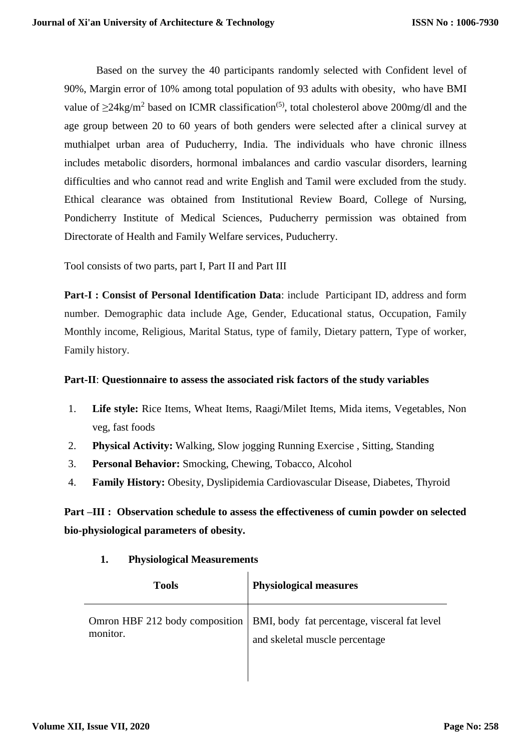Based on the survey the 40 participants randomly selected with Confident level of 90%, Margin error of 10% among total population of 93 adults with obesity, who have BMI value of  $\geq$ 24kg/m<sup>2</sup> based on ICMR classification<sup>(5)</sup>, total cholesterol above 200mg/dl and the age group between 20 to 60 years of both genders were selected after a clinical survey at muthialpet urban area of Puducherry, India. The individuals who have chronic illness includes metabolic disorders, hormonal imbalances and cardio vascular disorders, learning difficulties and who cannot read and write English and Tamil were excluded from the study. Ethical clearance was obtained from Institutional Review Board, College of Nursing, Pondicherry Institute of Medical Sciences, Puducherry permission was obtained from Directorate of Health and Family Welfare services, Puducherry.

Tool consists of two parts, part I, Part II and Part III

**Part-I : Consist of Personal Identification Data**: include Participant ID, address and form number. Demographic data include Age, Gender, Educational status, Occupation, Family Monthly income, Religious, Marital Status, type of family, Dietary pattern, Type of worker, Family history.

## **Part-II**: **Questionnaire to assess the associated risk factors of the study variables**

- 1. **Life style:** Rice Items, Wheat Items, Raagi/Milet Items, Mida items, Vegetables, Non veg, fast foods
- 2. **Physical Activity:** Walking, Slow jogging Running Exercise , Sitting, Standing
- 3. **Personal Behavior:** Smocking, Chewing, Tobacco, Alcohol
- 4. **Family History:** Obesity, Dyslipidemia Cardiovascular Disease, Diabetes, Thyroid

**Part –III : Observation schedule to assess the effectiveness of cumin powder on selected bio-physiological parameters of obesity.**

| <b>Tools</b> | <b>Physiological measures</b>                                                                                   |
|--------------|-----------------------------------------------------------------------------------------------------------------|
| monitor.     | Omron HBF 212 body composition   BMI, body fat percentage, visceral fat level<br>and skeletal muscle percentage |

# **1. Physiological Measurements**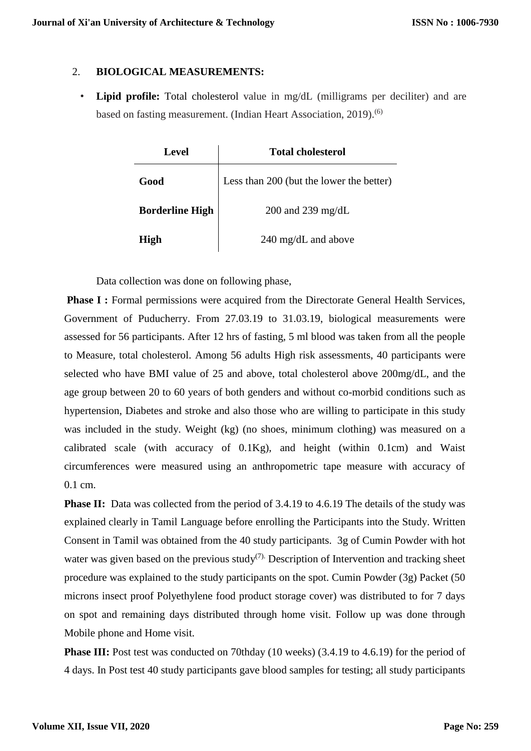## 2. **BIOLOGICAL MEASUREMENTS:**

• **Lipid profile:** Total cholesterol value in mg/dL (milligrams per deciliter) and are based on fasting measurement. (Indian Heart Association, 2019).<sup>(6)</sup>

| <b>Level</b>           | <b>Total cholesterol</b>                 |  |  |  |  |  |
|------------------------|------------------------------------------|--|--|--|--|--|
| Good                   | Less than 200 (but the lower the better) |  |  |  |  |  |
| <b>Borderline High</b> | 200 and 239 mg/dL                        |  |  |  |  |  |
| <b>High</b>            | $240 \text{ mg/dL}$ and above            |  |  |  |  |  |

Data collection was done on following phase,

**Phase I :** Formal permissions were acquired from the Directorate General Health Services, Government of Puducherry. From 27.03.19 to 31.03.19, biological measurements were assessed for 56 participants. After 12 hrs of fasting, 5 ml blood was taken from all the people to Measure, total cholesterol. Among 56 adults High risk assessments, 40 participants were selected who have BMI value of 25 and above, total cholesterol above 200mg/dL, and the age group between 20 to 60 years of both genders and without co-morbid conditions such as hypertension, Diabetes and stroke and also those who are willing to participate in this study was included in the study. Weight (kg) (no shoes, minimum clothing) was measured on a calibrated scale (with accuracy of 0.1Kg), and height (within 0.1cm) and Waist circumferences were measured using an anthropometric tape measure with accuracy of 0.1 cm.

**Phase II:** Data was collected from the period of 3.4.19 to 4.6.19 The details of the study was explained clearly in Tamil Language before enrolling the Participants into the Study. Written Consent in Tamil was obtained from the 40 study participants. 3g of Cumin Powder with hot water was given based on the previous study<sup>(7).</sup> Description of Intervention and tracking sheet procedure was explained to the study participants on the spot. Cumin Powder (3g) Packet (50 microns insect proof Polyethylene food product storage cover) was distributed to for 7 days on spot and remaining days distributed through home visit. Follow up was done through Mobile phone and Home visit.

**Phase III:** Post test was conducted on 70thday (10 weeks) (3.4.19 to 4.6.19) for the period of 4 days. In Post test 40 study participants gave blood samples for testing; all study participants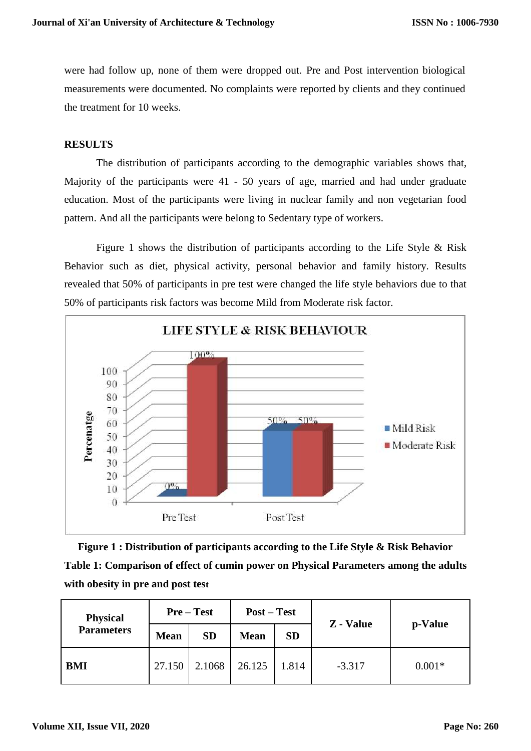were had follow up, none of them were dropped out. Pre and Post intervention biological measurements were documented. No complaints were reported by clients and they continued the treatment for 10 weeks.

#### **RESULTS**

The distribution of participants according to the demographic variables shows that, Majority of the participants were 41 - 50 years of age, married and had under graduate education. Most of the participants were living in nuclear family and non vegetarian food pattern. And all the participants were belong to Sedentary type of workers.

Figure 1 shows the distribution of participants according to the Life Style & Risk Behavior such as diet, physical activity, personal behavior and family history. Results revealed that 50% of participants in pre test were changed the life style behaviors due to that 50% of participants risk factors was become Mild from Moderate risk factor.



**Figure 1 : Distribution of participants according to the Life Style & Risk Behavior Table 1: Comparison of effect of cumin power on Physical Parameters among the adults with obesity in pre and post test**

| <b>Physical</b><br><b>Parameters</b> | $Pre-Test$  |           | <b>Post</b> – Test |           | Z - Value |          |  |
|--------------------------------------|-------------|-----------|--------------------|-----------|-----------|----------|--|
|                                      | <b>Mean</b> | <b>SD</b> | <b>Mean</b>        | <b>SD</b> |           | p-Value  |  |
| <b>BMI</b>                           | 27.150      | 2.1068    | 26.125             | 1.814     | $-3.317$  | $0.001*$ |  |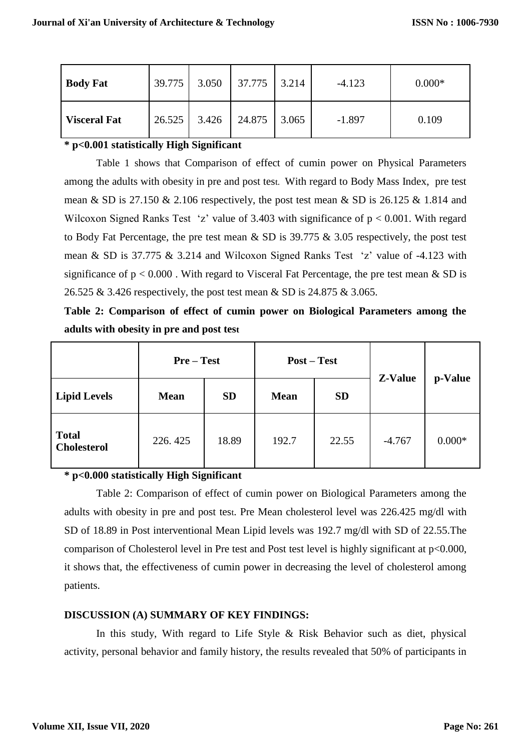| <b>Body Fat</b>     | 39.775 |       | $3.050$   37.775   3.214 | $-4.123$ | $0.000*$ |
|---------------------|--------|-------|--------------------------|----------|----------|
| <b>Visceral Fat</b> | 26.525 | 3.426 | 24.875 3.065             | $-1.897$ | 0.109    |

## **\* p<0.001 statistically High Significant**

Table 1 shows that Comparison of effect of cumin power on Physical Parameters among the adults with obesity in pre and post test. With regard to Body Mass Index, pre test mean & SD is 27.150 & 2.106 respectively, the post test mean & SD is 26.125 & 1.814 and Wilcoxon Signed Ranks Test 'z' value of 3.403 with significance of  $p < 0.001$ . With regard to Body Fat Percentage, the pre test mean & SD is 39.775 & 3.05 respectively, the post test mean & SD is 37.775 & 3.214 and Wilcoxon Signed Ranks Test 'z' value of -4.123 with significance of  $p < 0.000$ . With regard to Visceral Fat Percentage, the pre test mean & SD is 26.525 & 3.426 respectively, the post test mean & SD is 24.875 & 3.065.

**Table 2: Comparison of effect of cumin power on Biological Parameters among the adults with obesity in pre and post test**

|                                    | $Pre-Test$  |           | $Post - Test$ |           | Z-Value  |          |
|------------------------------------|-------------|-----------|---------------|-----------|----------|----------|
| <b>Lipid Levels</b>                | <b>Mean</b> | <b>SD</b> | <b>Mean</b>   | <b>SD</b> |          | p-Value  |
| <b>Total</b><br><b>Cholesterol</b> | 226.425     | 18.89     | 192.7         | 22.55     | $-4.767$ | $0.000*$ |

# **\* p<0.000 statistically High Significant**

Table 2: Comparison of effect of cumin power on Biological Parameters among the adults with obesity in pre and post test. Pre Mean cholesterol level was 226.425 mg/dl with SD of 18.89 in Post interventional Mean Lipid levels was 192.7 mg/dl with SD of 22.55.The comparison of Cholesterol level in Pre test and Post test level is highly significant at p<0.000, it shows that, the effectiveness of cumin power in decreasing the level of cholesterol among patients.

# **DISCUSSION (A) SUMMARY OF KEY FINDINGS:**

In this study, With regard to Life Style & Risk Behavior such as diet, physical activity, personal behavior and family history, the results revealed that 50% of participants in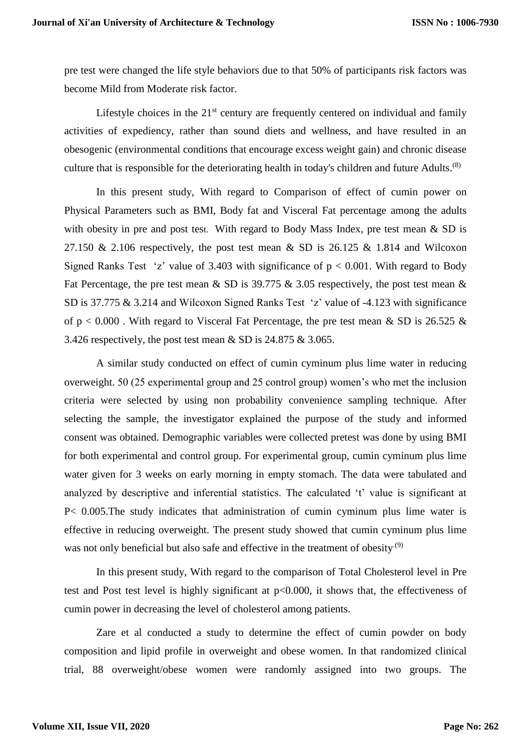pre test were changed the life style behaviors due to that 50% of participants risk factors was become Mild from Moderate risk factor.

Lifestyle choices in the  $21<sup>st</sup>$  century are frequently centered on individual and family activities of expediency, rather than sound diets and wellness, and have resulted in an obesogenic (environmental conditions that encourage excess weight gain) and chronic disease culture that is responsible for the deteriorating health in today's children and future Adults.<sup>(8)</sup>

In this present study, With regard to Comparison of effect of cumin power on Physical Parameters such as BMI, Body fat and Visceral Fat percentage among the adults with obesity in pre and post test. With regard to Body Mass Index, pre test mean & SD is 27.150 & 2.106 respectively, the post test mean & SD is 26.125 & 1.814 and Wilcoxon Signed Ranks Test 'z' value of 3.403 with significance of  $p < 0.001$ . With regard to Body Fat Percentage, the pre test mean  $\&$  SD is 39.775  $\&$  3.05 respectively, the post test mean  $\&$ SD is 37.775 & 3.214 and Wilcoxon Signed Ranks Test 'z' value of -4.123 with significance of  $p < 0.000$ . With regard to Visceral Fat Percentage, the pre test mean & SD is 26.525 & 3.426 respectively, the post test mean & SD is 24.875 & 3.065.

A similar study conducted on effect of cumin cyminum plus lime water in reducing overweight. 50 (25 experimental group and 25 control group) women's who met the inclusion criteria were selected by using non probability convenience sampling technique. After selecting the sample, the investigator explained the purpose of the study and informed consent was obtained. Demographic variables were collected pretest was done by using BMI for both experimental and control group. For experimental group, cumin cyminum plus lime water given for 3 weeks on early morning in empty stomach. The data were tabulated and analyzed by descriptive and inferential statistics. The calculated 't' value is significant at P< 0.005.The study indicates that administration of cumin cyminum plus lime water is effective in reducing overweight. The present study showed that cumin cyminum plus lime was not only beneficial but also safe and effective in the treatment of obesity.<sup>(9)</sup>

In this present study, With regard to the comparison of Total Cholesterol level in Pre test and Post test level is highly significant at p<0.000, it shows that, the effectiveness of cumin power in decreasing the level of cholesterol among patients.

Zare et al conducted a study to determine the effect of cumin powder on body composition and lipid profile in overweight and obese women. In that randomized clinical trial, 88 overweight/obese women were randomly assigned into two groups. The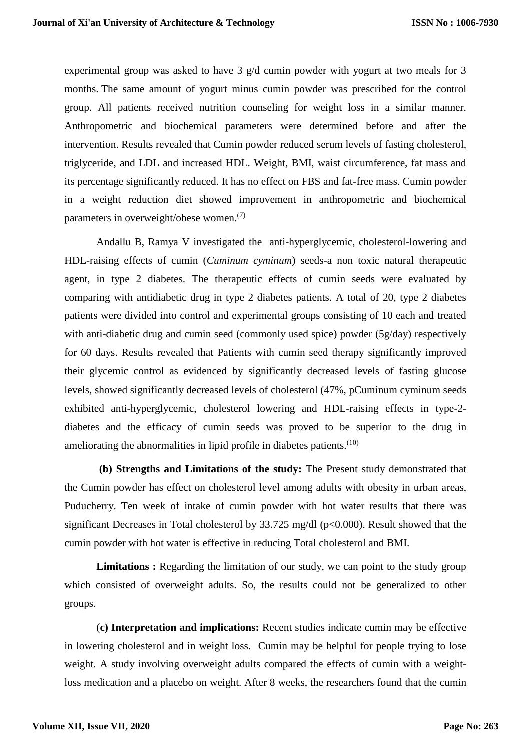experimental group was asked to have 3 g/d cumin powder with yogurt at two meals for 3 months. The same amount of yogurt minus cumin powder was prescribed for the control group. All patients received nutrition counseling for weight loss in a similar manner. Anthropometric and biochemical parameters were determined before and after the intervention. Results revealed that Cumin powder reduced serum levels of fasting cholesterol, triglyceride, and LDL and increased HDL. Weight, BMI, waist circumference, fat mass and its percentage significantly reduced. It has no effect on FBS and fat-free mass. Cumin powder in a weight reduction diet showed improvement in anthropometric and biochemical parameters in overweight/obese women.<sup>(7)</sup>

Andallu B, Ramya V investigated the anti-hyperglycemic, cholesterol-lowering and HDL-raising effects of cumin (*Cuminum cyminum*) seeds-a non toxic natural therapeutic agent, in type 2 diabetes. The therapeutic effects of cumin seeds were evaluated by comparing with antidiabetic drug in type 2 diabetes patients. A total of 20, type 2 diabetes patients were divided into control and experimental groups consisting of 10 each and treated with anti-diabetic drug and cumin seed (commonly used spice) powder (5g/day) respectively for 60 days. Results revealed that Patients with cumin seed therapy significantly improved their glycemic control as evidenced by significantly decreased levels of fasting glucose levels, showed significantly decreased levels of cholesterol (47%, pCuminum cyminum seeds exhibited anti-hyperglycemic, cholesterol lowering and HDL-raising effects in type-2 diabetes and the efficacy of cumin seeds was proved to be superior to the drug in ameliorating the abnormalities in lipid profile in diabetes patients. $(10)$ 

**(b) Strengths and Limitations of the study:** The Present study demonstrated that the Cumin powder has effect on cholesterol level among adults with obesity in urban areas, Puducherry. Ten week of intake of cumin powder with hot water results that there was significant Decreases in Total cholesterol by 33.725 mg/dl (p<0.000). Result showed that the cumin powder with hot water is effective in reducing Total cholesterol and BMI.

**Limitations :** Regarding the limitation of our study, we can point to the study group which consisted of overweight adults. So, the results could not be generalized to other groups.

(**c) Interpretation and implications:** Recent studies indicate cumin may be effective in lowering cholesterol and in weight loss. Cumin may be helpful for people trying to lose weight. [A study](https://www.karger.com/Article/Abstract/373896) involving overweight adults compared the effects of cumin with a weightloss medication and a [placebo](https://www.medicalnewstoday.com/articles/306437.php) on weight. After 8 weeks, the researchers found that the cumin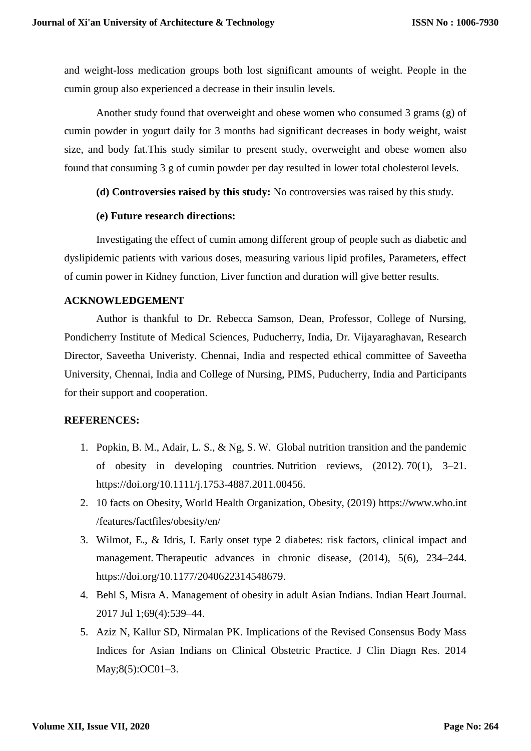and weight-loss medication groups both lost significant amounts of weight. People in the cumin group also experienced a decrease in their [insulin](https://www.medicalnewstoday.com/info/diabetes/whatisinsulin.php) levels.

[Another study](https://www.ncbi.nlm.nih.gov/pubmed/25456022) found that overweight and obese women who consumed 3 grams (g) of cumin powder in yogurt daily for 3 months had significant decreases in [body weight,](https://www.medicalnewstoday.com/info/obesity/how-much-should-i-weigh.php) waist size, and body fat.This study similar to present study, overweight and obese women also found that consuming 3 g of cumin powder per day resulted in lower total [cholestero](https://www.medicalnewstoday.com/articles/9152.php)l levels.

**(d) Controversies raised by this study:** No controversies was raised by this study.

## **(e) Future research directions:**

Investigating the effect of cumin among different group of people such as diabetic and dyslipidemic patients with various doses, measuring various lipid profiles, Parameters, effect of cumin power in Kidney function, Liver function and duration will give better results.

## **ACKNOWLEDGEMENT**

Author is thankful to Dr. Rebecca Samson, Dean, Professor, College of Nursing, Pondicherry Institute of Medical Sciences, Puducherry, India, Dr. Vijayaraghavan, Research Director, Saveetha Univeristy. Chennai, India and respected ethical committee of Saveetha University, Chennai, India and College of Nursing, PIMS, Puducherry, India and Participants for their support and cooperation.

# **REFERENCES:**

- 1. Popkin, B. M., Adair, L. S., & Ng, S. W. Global nutrition transition and the pandemic of obesity in developing countries. Nutrition reviews, (2012). 70(1), 3–21. https://doi.org/10.1111/j.1753-4887.2011.00456.
- 2. 10 facts on Obesity, World Health Organization, Obesity, (2019) https://www.who.int /features/factfiles/obesity/en/
- 3. Wilmot, E., & Idris, I. Early onset type 2 diabetes: risk factors, clinical impact and management. Therapeutic advances in chronic disease, (2014), 5(6), 234–244. https://doi.org/10.1177/2040622314548679.
- 4. Behl S, Misra A. Management of obesity in adult Asian Indians. Indian Heart Journal. 2017 Jul 1;69(4):539–44.
- 5. Aziz N, Kallur SD, Nirmalan PK. Implications of the Revised Consensus Body Mass Indices for Asian Indians on Clinical Obstetric Practice. J Clin Diagn Res. 2014 May;8(5):OC01–3.